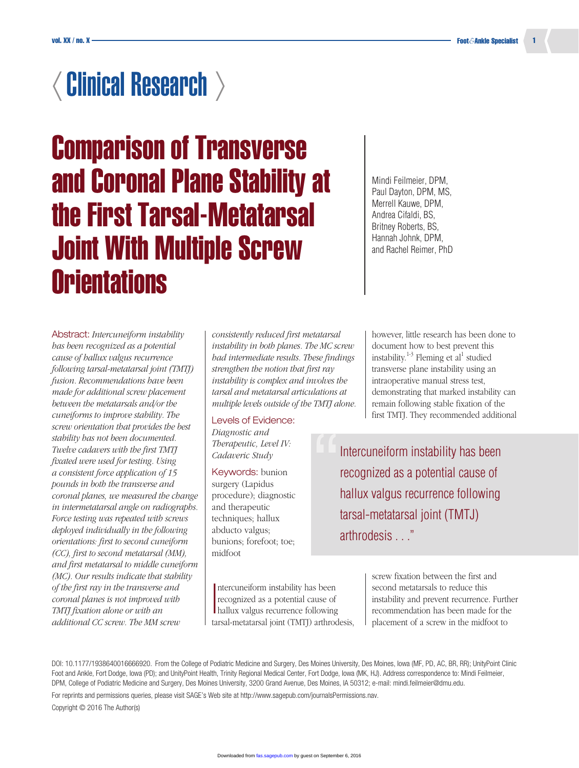# $\langle$  Clinical Research  $\rangle$

Comparison of Transverse and Coronal Plane Stability at the First Tarsal-Metatarsal Joint With Multiple Screw **Orientations** 

Abstract: *Intercuneiform instability has been recognized as a potential cause of hallux valgus recurrence following tarsal-metatarsal joint (TMTJ) fusion. Recommendations have been made for additional screw placement between the metatarsals and/or the cuneiforms to improve stability. The screw orientation that provides the best stability has not been documented. Twelve cadavers with the first TMTJ fixated were used for testing. Using a consistent force application of 15 pounds in both the transverse and coronal planes, we measured the change in intermetatarsal angle on radiographs. Force testing was repeated with screws deployed individually in the following orientations: first to second cuneiform (CC), first to second metatarsal (MM), and first metatarsal to middle cuneiform (MC). Our results indicate that stability of the first ray in the transverse and coronal planes is not improved with TMTJ fixation alone or with an additional CC screw. The MM screw* 

*consistently reduced first metatarsal instability in both planes. The MC screw had intermediate results. These findings strengthen the notion that first ray instability is complex and involves the tarsal and metatarsal articulations at multiple levels outside of the TMTJ alone.*

Levels of Evidence: *Diagnostic and Therapeutic, Level IV: Cadaveric Study*

Keywords: bunion surgery (Lapidus procedure); diagnostic and therapeutic techniques; hallux abducto valgus; bunions; forefoot; toe; midfoot

I ntercuneiform instability has been recognized as a potential cause of hallux valgus recurrence following tarsal-metatarsal joint (TMTJ) arthrodesis,

Mindi Feilmeier, DPM, Paul Dayton, DPM, MS, Merrell Kauwe, DPM, Andrea Cifaldi, BS, Britney Roberts, BS, Hannah Johnk, DPM, and Rachel Reimer, PhD

however, little research has been done to document how to best prevent this instability.<sup>1-3</sup> Fleming et al<sup>1</sup> studied transverse plane instability using an intraoperative manual stress test, demonstrating that marked instability can remain following stable fixation of the first TMTJ. They recommended additional

Intercuneiform instability has been recognized as a potential cause of hallux valgus recurrence following tarsal-metatarsal joint (TMTJ) arthrodesis . . ." ו<br>ו<br>ו

> screw fixation between the first and second metatarsals to reduce this instability and prevent recurrence. Further recommendation has been made for the placement of a screw in the midfoot to

For reprints and permissions queries, please visit SAGE's Web site at [http://www.sagepub.com/journalsPermissions.nav.](http://www.sagepub.com/journalsPermissions.nav)

Copyright © 2016 The Author(s)

DOI: 10.1177/1938640016666920. From the College of Podiatric Medicine and Surgery, Des Moines University, Des Moines, Iowa (MF, PD, AC, BR, RR); UnityPoint Clinic Foot and Ankle, Fort Dodge, Iowa (PD); and UnityPoint Health, Trinity Regional Medical Center, Fort Dodge, Iowa (MK, HJ). Address correspondence to: Mindi Feilmeier, DPM, College of Podiatric Medicine and Surgery, Des Moines University, 3200 Grand Avenue, Des Moines, IA 50312; e-mail: [mindi.feilmeier@dmu.edu.](mailto:mindi.feilmeier@dmu.edu)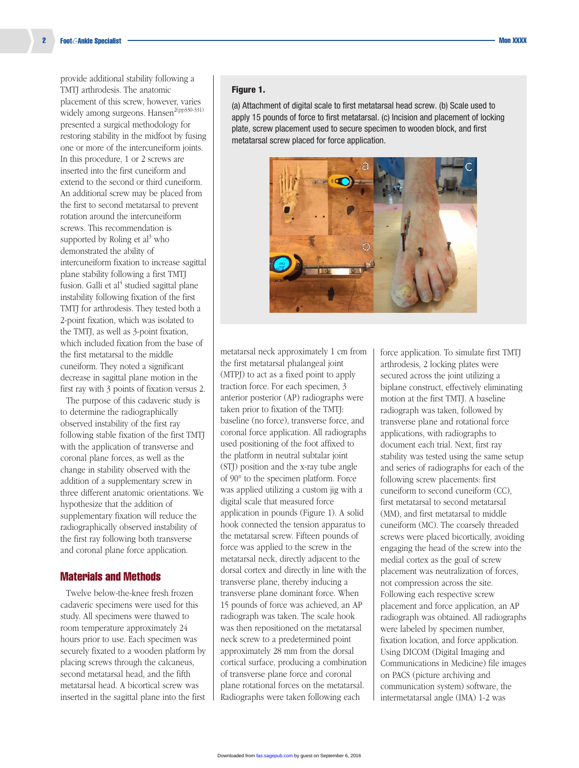provide additional stability following a TMTJ arthrodesis. The anatomic placement of this screw, however, varies widely among surgeons. Hansen<sup>2(pp330-331)</sup> presented a surgical methodology for restoring stability in the midfoot by fusing one or more of the intercuneiform joints. In this procedure, 1 or 2 screws are inserted into the first cuneiform and extend to the second or third cuneiform. An additional screw may be placed from the first to second metatarsal to prevent rotation around the intercuneiform screws. This recommendation is supported by Roling et  $al^3$  who demonstrated the ability of intercuneiform fixation to increase sagittal plane stability following a first TMTJ fusion. Galli et al<sup>4</sup> studied sagittal plane instability following fixation of the first TMTJ for arthrodesis. They tested both a 2-point fixation, which was isolated to the TMTJ, as well as 3-point fixation, which included fixation from the base of the first metatarsal to the middle cuneiform. They noted a significant decrease in sagittal plane motion in the first ray with 3 points of fixation versus 2.

The purpose of this cadaveric study is to determine the radiographically observed instability of the first ray following stable fixation of the first TMTJ with the application of transverse and coronal plane forces, as well as the change in stability observed with the addition of a supplementary screw in three different anatomic orientations. We hypothesize that the addition of supplementary fixation will reduce the radiographically observed instability of the first ray following both transverse and coronal plane force application.

#### Materials and Methods

Twelve below-the-knee fresh frozen cadaveric specimens were used for this study. All specimens were thawed to room temperature approximately 24 hours prior to use. Each specimen was securely fixated to a wooden platform by placing screws through the calcaneus, second metatarsal head, and the fifth metatarsal head. A bicortical screw was inserted in the sagittal plane into the first

#### Figure 1.

(a) Attachment of digital scale to first metatarsal head screw. (b) Scale used to apply 15 pounds of force to first metatarsal. (c) Incision and placement of locking plate, screw placement used to secure specimen to wooden block, and first metatarsal screw placed for force application.



metatarsal neck approximately 1 cm from the first metatarsal phalangeal joint (MTPJ) to act as a fixed point to apply traction force. For each specimen, 3 anterior posterior (AP) radiographs were taken prior to fixation of the TMTJ: baseline (no force), transverse force, and coronal force application. All radiographs used positioning of the foot affixed to the platform in neutral subtalar joint (STJ) position and the x-ray tube angle of 90° to the specimen platform. Force was applied utilizing a custom jig with a digital scale that measured force application in pounds (Figure 1). A solid hook connected the tension apparatus to the metatarsal screw. Fifteen pounds of force was applied to the screw in the metatarsal neck, directly adjacent to the dorsal cortex and directly in line with the transverse plane, thereby inducing a transverse plane dominant force. When 15 pounds of force was achieved, an AP radiograph was taken. The scale hook was then repositioned on the metatarsal neck screw to a predetermined point approximately 28 mm from the dorsal cortical surface, producing a combination of transverse plane force and coronal plane rotational forces on the metatarsal. Radiographs were taken following each

force application. To simulate first TMTJ arthrodesis, 2 locking plates were secured across the joint utilizing a biplane construct, effectively eliminating motion at the first TMTJ. A baseline radiograph was taken, followed by transverse plane and rotational force applications, with radiographs to document each trial. Next, first ray stability was tested using the same setup and series of radiographs for each of the following screw placements: first cuneiform to second cuneiform (CC), first metatarsal to second metatarsal (MM), and first metatarsal to middle cuneiform (MC). The coarsely threaded screws were placed bicortically, avoiding engaging the head of the screw into the medial cortex as the goal of screw placement was neutralization of forces, not compression across the site. Following each respective screw placement and force application, an AP radiograph was obtained. All radiographs were labeled by specimen number, fixation location, and force application. Using DICOM (Digital Imaging and Communications in Medicine) file images on PACS (picture archiving and communication system) software, the intermetatarsal angle (IMA) 1-2 was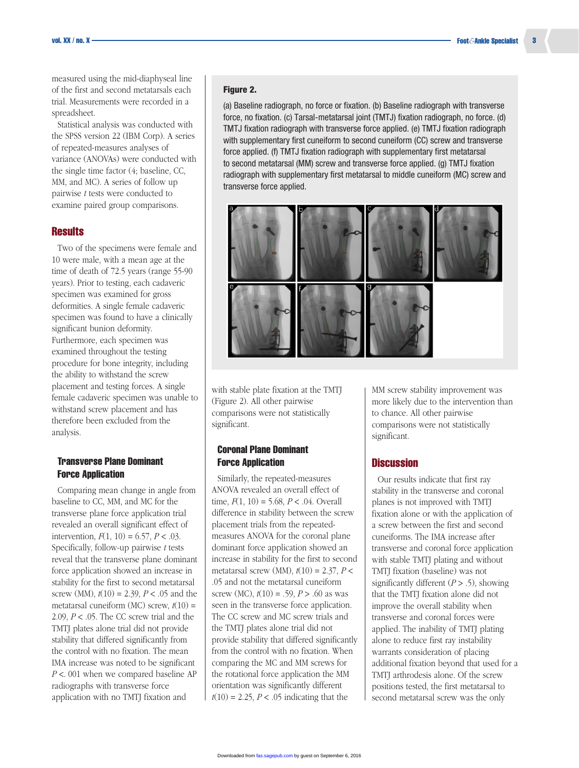measured using the mid-diaphyseal line of the first and second metatarsals each trial. Measurements were recorded in a spreadsheet.

Statistical analysis was conducted with the SPSS version 22 (IBM Corp). A series of repeated-measures analyses of variance (ANOVAs) were conducted with the single time factor (4; baseline, CC, MM, and MC). A series of follow up pairwise *t* tests were conducted to examine paired group comparisons.

# **Results**

Two of the specimens were female and 10 were male, with a mean age at the time of death of 72.5 years (range 55-90 years). Prior to testing, each cadaveric specimen was examined for gross deformities. A single female cadaveric specimen was found to have a clinically significant bunion deformity. Furthermore, each specimen was examined throughout the testing procedure for bone integrity, including the ability to withstand the screw placement and testing forces. A single female cadaveric specimen was unable to withstand screw placement and has therefore been excluded from the analysis.

## Transverse Plane Dominant Force Application

Comparing mean change in angle from baseline to CC, MM, and MC for the transverse plane force application trial revealed an overall significant effect of intervention,  $F(1, 10) = 6.57, P < .03$ . Specifically, follow-up pairwise *t* tests reveal that the transverse plane dominant force application showed an increase in stability for the first to second metatarsal screw (MM), *t*(10) = 2.39, *P* < .05 and the metatarsal cuneiform (MC) screw, *t*(10) = 2.09, *P* < .05. The CC screw trial and the TMTJ plates alone trial did not provide stability that differed significantly from the control with no fixation. The mean IMA increase was noted to be significant *P* <. 001 when we compared baseline AP radiographs with transverse force application with no TMTJ fixation and

#### Figure 2.

(a) Baseline radiograph, no force or fixation. (b) Baseline radiograph with transverse force, no fixation. (c) Tarsal-metatarsal joint (TMTJ) fixation radiograph, no force. (d) TMTJ fixation radiograph with transverse force applied. (e) TMTJ fixation radiograph with supplementary first cuneiform to second cuneiform (CC) screw and transverse force applied. (f) TMTJ fixation radiograph with supplementary first metatarsal to second metatarsal (MM) screw and transverse force applied. (g) TMTJ fixation radiograph with supplementary first metatarsal to middle cuneiform (MC) screw and transverse force applied.



with stable plate fixation at the TMTJ (Figure 2). All other pairwise comparisons were not statistically significant.

## Coronal Plane Dominant **Force Application**

Similarly, the repeated-measures ANOVA revealed an overall effect of time,  $F(1, 10) = 5.68$ ,  $P < .04$ . Overall difference in stability between the screw placement trials from the repeatedmeasures ANOVA for the coronal plane dominant force application showed an increase in stability for the first to second metatarsal screw (MM), *t*(10) = 2.37, *P* < .05 and not the metatarsal cuneiform screw (MC),  $t(10) = .59$ ,  $P > .60$  as was seen in the transverse force application. The CC screw and MC screw trials and the TMTJ plates alone trial did not provide stability that differed significantly from the control with no fixation. When comparing the MC and MM screws for the rotational force application the MM orientation was significantly different  $t(10) = 2.25$ ,  $P < .05$  indicating that the

MM screw stability improvement was more likely due to the intervention than to chance. All other pairwise comparisons were not statistically significant.

## **Discussion**

Our results indicate that first ray stability in the transverse and coronal planes is not improved with TMTJ fixation alone or with the application of a screw between the first and second cuneiforms. The IMA increase after transverse and coronal force application with stable TMTJ plating and without TMTJ fixation (baseline) was not significantly different (*P* > .5), showing that the TMTJ fixation alone did not improve the overall stability when transverse and coronal forces were applied. The inability of TMTJ plating alone to reduce first ray instability warrants consideration of placing additional fixation beyond that used for a TMTJ arthrodesis alone. Of the screw positions tested, the first metatarsal to second metatarsal screw was the only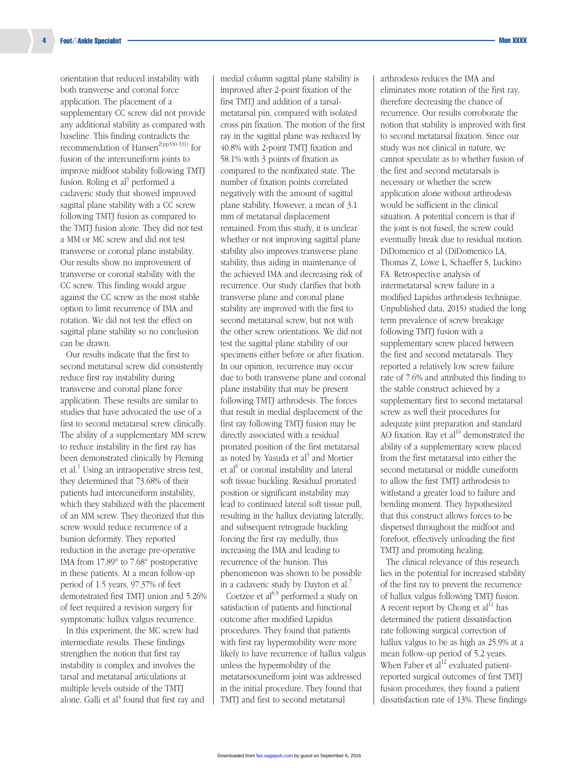orientation that reduced instability with both transverse and coronal force application. The placement of a supplementary CC screw did not provide any additional stability as compared with baseline. This finding contradicts the recommendation of Hansen<sup>2(pp330-331)</sup> for fusion of the intercuneiform joints to improve midfoot stability following TMTJ fusion. Roling et al<sup>3</sup> performed a cadaveric study that showed improved sagittal plane stability with a CC screw following TMTJ fusion as compared to the TMTJ fusion alone. They did not test a MM or MC screw and did not test transverse or coronal plane instability. Our results show no improvement of transverse or coronal stability with the CC screw. This finding would argue against the CC screw as the most stable option to limit recurrence of IMA and rotation. We did not test the effect on sagittal plane stability so no conclusion can be drawn.

Our results indicate that the first to second metatarsal screw did consistently reduce first ray instability during transverse and coronal plane force application. These results are similar to studies that have advocated the use of a first to second metatarsal screw clinically. The ability of a supplementary MM screw to reduce instability in the first ray has been demonstrated clinically by Fleming et al.<sup>1</sup> Using an intraoperative stress test, they determined that 73.68% of their patients had intercuneiform instability, which they stabilized with the placement of an MM screw. They theorized that this screw would reduce recurrence of a bunion deformity. They reported reduction in the average pre-operative IMA from 17.89° to 7.68° postoperative in these patients. At a mean follow-up period of 1.5 years, 97.37% of feet demonstrated first TMTJ union and 5.26% of feet required a revision surgery for symptomatic hallux valgus recurrence.

In this experiment, the MC screw had intermediate results. These findings strengthen the notion that first ray instability is complex and involves the tarsal and metatarsal articulations at multiple levels outside of the TMTJ alone. Galli et  $al<sup>4</sup>$  found that first ray and medial column sagittal plane stability is improved after 2-point fixation of the first TMTJ and addition of a tarsalmetatarsal pin, compared with isolated cross pin fixation. The motion of the first ray in the sagittal plane was reduced by 40.8% with 2-point TMTJ fixation and 58.1% with 3 points of fixation as compared to the nonfixated state. The number of fixation points correlated negatively with the amount of sagittal plane stability. However, a mean of 3.1 mm of metatarsal displacement remained. From this study, it is unclear whether or not improving sagittal plane stability also improves transverse plane stability, thus aiding in maintenance of the achieved IMA and decreasing risk of recurrence. Our study clarifies that both transverse plane and coronal plane stability are improved with the first to second metatarsal screw, but not with the other screw orientations. We did not test the sagittal plane stability of our specimens either before or after fixation. In our opinion, recurrence may occur due to both transverse plane and coronal plane instability that may be present following TMTJ arthrodesis. The forces that result in medial displacement of the first ray following TMTJ fusion may be directly associated with a residual pronated position of the first metatarsal as noted by Yasuda et al<sup>5</sup> and Mortier et al<sup>6</sup> or coronal instability and lateral soft tissue buckling. Residual pronated position or significant instability may lead to continued lateral soft tissue pull, resulting in the hallux deviating laterally, and subsequent retrograde buckling forcing the first ray medially, thus increasing the IMA and leading to recurrence of the bunion. This phenomenon was shown to be possible in a cadaveric study by Dayton et al.<sup>7</sup>

Coetzee et  $al^{8,9}$  performed a study on satisfaction of patients and functional outcome after modified Lapidus procedures. They found that patients with first ray hypermobility were more likely to have recurrence of hallux valgus unless the hypermobility of the metatarsocuneiform joint was addressed in the initial procedure. They found that TMTJ and first to second metatarsal

arthrodesis reduces the IMA and eliminates more rotation of the first ray, therefore decreasing the chance of recurrence. Our results corroborate the notion that stability is improved with first to second metatarsal fixation. Since our study was not clinical in nature, we cannot speculate as to whether fusion of the first and second metatarsals is necessary or whether the screw application alone without arthrodesis would be sufficient in the clinical situation. A potential concern is that if the joint is not fused, the screw could eventually break due to residual motion. DiDomenico et al (DiDomenico LA, Thomas Z, Lowe L, Schaeffer S, Luckino FA. Retrospective analysis of intermetatarsal screw failure in a modified Lapidus arthrodesis technique. Unpublished data, 2015) studied the long term prevalence of screw breakage following TMTJ fusion with a supplementary screw placed between the first and second metatarsals. They reported a relatively low screw failure rate of 7.6% and attributed this finding to the stable construct achieved by a supplementary first to second metatarsal screw as well their procedures for adequate joint preparation and standard AO fixation. Ray et  $al^{10}$  demonstrated the ability of a supplementary screw placed from the first metatarsal into either the second metatarsal or middle cuneiform to allow the first TMTJ arthrodesis to withstand a greater load to failure and bending moment. They hypothesized that this construct allows forces to be dispersed throughout the midfoot and forefoot, effectively unloading the first TMTJ and promoting healing.

The clinical relevance of this research lies in the potential for increased stability of the first ray to prevent the recurrence of hallux valgus following TMTJ fusion. A recent report by Chong et  $al<sup>11</sup>$  has determined the patient dissatisfaction rate following surgical correction of hallux valgus to be as high as 25.9% at a mean follow-up period of 5.2 years. When Faber et  $al<sup>12</sup>$  evaluated patientreported surgical outcomes of first TMTJ fusion procedures, they found a patient dissatisfaction rate of 13%. These findings